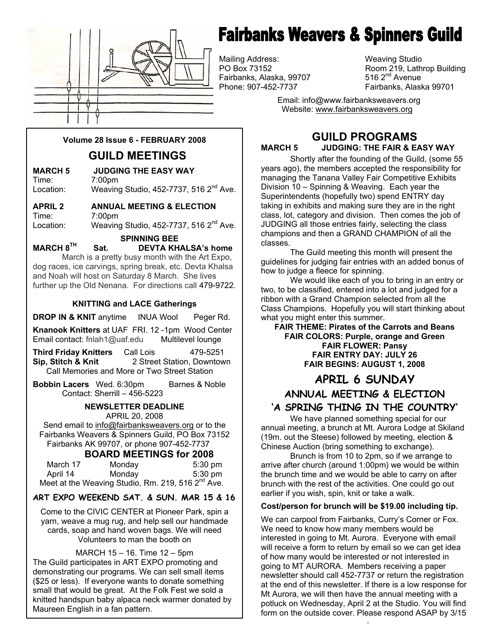

# **Fairbanks Weavers & Spinners Guild**

Mailing Address: Weaving Studio Fairbanks, Alaska, 99707 Phone: 907-452-7737 Fairbanks, Alaska 99701

Room 219, Lathrop Building 516  $2<sup>nd</sup>$  Avenue

 Email: info@www.fairbanksweavers.org Website: www.fairbanksweavers.org

#### **GUILD PROGRAMS MARCH 5 JUDGING: THE FAIR & EASY WAY**

 Shortly after the founding of the Guild, (some 55 years ago), the members accepted the responsibility for managing the Tanana Valley Fair Competitive Exhibits Division 10 – Spinning & Weaving. Each year the Superintendents (hopefully two) spend ENTRY day taking in exhibits and making sure they are in the right class, lot, category and division. Then comes the job of JUDGING all those entries fairly, selecting the class champions and then a GRAND CHAMPION of all the classes.

 The Guild meeting this month will present the guidelines for judging fair entries with an added bonus of how to judge a fleece for spinning.

 We would like each of you to bring in an entry or two, to be classified, entered into a lot and judged for a ribbon with a Grand Champion selected from all the Class Champions. Hopefully you will start thinking about what you might enter this summer.

**FAIR THEME: Pirates of the Carrots and Beans FAIR COLORS: Purple, orange and Green FAIR FLOWER: Pansy FAIR ENTRY DAY: JULY 26 FAIR BEGINS: AUGUST 1, 2008** 

# **APRIL 6 SUNDAY ANNUAL MEETING & ELECTION**

### **'A SPRING THING IN THE COUNTRY'**

 We have planned something special for our annual meeting, a brunch at Mt. Aurora Lodge at Skiland (19m. out the Steese) followed by meeting, election & Chinese Auction (bring something to exchange).

 Brunch is from 10 to 2pm, so if we arrange to arrive after church (around 1:00pm) we would be within the brunch time and we would be able to carry on after brunch with the rest of the activities. One could go out earlier if you wish, spin, knit or take a walk.

#### **Cost/person for brunch will be \$19.00 including tip.**

 Mt Aurora, we will then have the annual meeting with a . **ICAT FABRIC STICK STICK STICKS STICKS STICKS STICKS STICKS STICKS STICKS STICKS STICKS STICKS STICKS** We can carpool from Fairbanks, Curry's Corner or Fox. We need to know how many members would be interested in going to Mt. Aurora. Everyone with email will receive a form to return by email so we can get idea of how many would be interested or not interested in going to MT AURORA. Members receiving a paper newsletter should call 452-7737 or return the registration at the end of this newsletter. If there is a low response for potluck on Wednesday, April 2 at the Studio. You will find

#### **Volume 28 Issue 6 - FEBRUARY 2008**

### **GUILD MEETINGS**

| <b>MARCH 5</b> | <b>JUDGING THE EASY WAY</b>                        |
|----------------|----------------------------------------------------|
| Time:          | 7:00pm                                             |
| Location:      | Weaving Studio, 452-7737, 516 2 <sup>nd</sup> Ave. |

**APRIL 2 ANNUAL MEETING & ELECTION**  Time: 7:00pm Location: Weaving Studio, 452-7737, 516 2<sup>nd</sup> Ave.

#### **SPINNING BEE**<br>MARCH 8<sup>TH</sup> Sat. DEVTA KH Sat. **DEVTA KHALSA's home**

March is a pretty busy month with the Art Expo, dog races, ice carvings, spring break, etc. Devta Khalsa and Noah will host on Saturday 8 March. She lives further up the Old Nenana. For directions call 479-9722.

#### **KNITTING and LACE Gatherings**

**DROP IN & KNIT** anytime INUA Wool Peger Rd.

**Knanook Knitters** at UAF FRI. 12 -1pm Wood Center Email contact: fnlah1@uaf.edu Multilevel lounge

**Third Friday Knitters** Call Lois 479-5251 **Sip, Stitch & Knit** 2 Street Station, Downtown Call Memories and More or Two Street Station

**Bobbin Lacers** Wed. 6:30pm Barnes & Noble Contact: Sherrill – 456-5223

#### **NEWSLETTER DEADLINE**

APRIL 20, 2008

Send email to info@fairbanksweavers.org or to the Fairbanks Weavers & Spinners Guild, PO Box 73152 Fairbanks AK 99707, or phone 907-452-7737

#### **BOARD MEETINGS for 2008**

| March 17 | Monday | $5:30$ pm                                                     |
|----------|--------|---------------------------------------------------------------|
| April 14 | Mondav | $5:30 \text{ pm}$                                             |
|          |        | Meet at the Weaving Studio, Rm. 219, 516 2 <sup>nd</sup> Ave. |

#### **ART EXPO WEEKEND SAT. & SUN. MAR 15 & 16**

Come to the CIVIC CENTER at Pioneer Park, spin a yarn, weave a mug rug, and help sell our handmade cards, soap and hand woven bags. We will need Volunteers to man the booth on

MARCH 15 – 16. Time 12 – 5pm The Guild participates in ART EXPO promoting and demonstrating our programs. We can sell small items (\$25 or less). If everyone wants to donate something small that would be great. At the Folk Fest we sold a knitted handspun baby alpaca neck warmer donated by Maureen English in a fan pattern.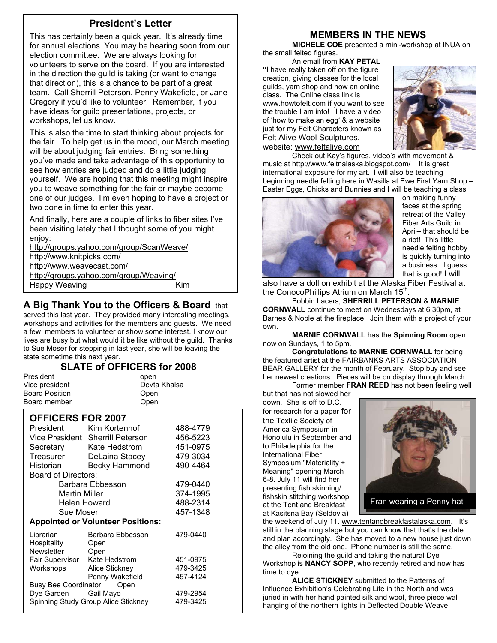#### **President's Letter**

This has certainly been a quick year. It's already time for annual elections. You may be hearing soon from our election committee. We are always looking for volunteers to serve on the board. If you are interested in the direction the guild is taking (or want to change that direction), this is a chance to be part of a great team. Call Sherrill Peterson, Penny Wakefield, or Jane Gregory if you'd like to volunteer. Remember, if you have ideas for guild presentations, projects, or workshops, let us know.

This is also the time to start thinking about projects for the fair. To help get us in the mood, our March meeting will be about judging fair entries. Bring something you've made and take advantage of this opportunity to see how entries are judged and do a little judging yourself. We are hoping that this meeting might inspire you to weave something for the fair or maybe become one of our judges. I'm even hoping to have a project or two done in time to enter this year.

And finally, here are a couple of links to fiber sites I've been visiting lately that I thought some of you might enjoy:

http://groups.yahoo.com/group/ScanWeave/ http://www.knitpicks.com/ http://www.weavecast.com/

http://groups.yahoo.com/group/Weaving/

Happy Weaving **Kim** 

#### **A Big Thank You to the Officers & Board** that

served this last year. They provided many interesting meetings, workshops and activities for the members and guests. We need a few members to volunteer or show some interest. I know our lives are busy but what would it be like without the guild. Thanks to Sue Moser for stepping in last year, she will be leaving the state sometime this next year.

#### **SLATE of OFFICERS for 2008**

| President      | open         |
|----------------|--------------|
| Vice president | Devta Khalsa |
| Board Position | Open         |
| Board member   | Open         |

#### **OFFICERS FOR 2007**

| .                                               |                                  |          |  |
|-------------------------------------------------|----------------------------------|----------|--|
| President                                       | Kim Kortenhof                    | 488-4779 |  |
|                                                 | Vice President Sherrill Peterson | 456-5223 |  |
|                                                 | Secretary Kate Hedstrom          | 451-0975 |  |
| Treasurer                                       | DeLaina Stacey                   | 479-3034 |  |
| Historian                                       | Becky Hammond                    | 490-4464 |  |
| <b>Board of Directors:</b>                      |                                  |          |  |
| Barbara Ebbesson                                | 479-0440                         |          |  |
| <b>Martin Miller</b>                            | 374-1995                         |          |  |
| Helen Howard                                    | 488-2314                         |          |  |
| Sue Moser                                       |                                  | 457-1348 |  |
| <b>Appointed or Volunteer Positions:</b>        |                                  |          |  |
| Librarian                                       | Barbara Ebbesson                 | 479-0440 |  |
| Hospitality                                     | Open                             |          |  |
| Newsletter                                      | Open                             |          |  |
| Fair Supervisor Kate Hedstrom                   |                                  | 451-0975 |  |
| Workshops                                       | Alice Stickney                   | 479-3425 |  |
|                                                 | Penny Wakefield                  | 457-4124 |  |
| Busy Bee Coordinator Open                       |                                  |          |  |
| Dye Garden Gail Mayo                            | 479-2954                         |          |  |
| Spinning Study Group Alice Stickney<br>479-3425 |                                  |          |  |

#### **MEMBERS IN THE NEWS**

**MICHELE COE** presented a mini-workshop at INUA on the small felted figures.

An email from **KAY PETAL** 

**"**I have really taken off on the figure creation, giving classes for the local guilds, yarn shop and now an online class. The Online class link is www.howtofelt.com if you want to see the trouble I am into! I have a video of 'how to make an egg' & a website just for my Felt Characters known as Felt Alive Wool Sculptures, website: www.feltalive.com



Check out Kay's figures, video's with movement & music at http://www.feltnalaska.blogspot.com/ It is great international exposure for my art. I will also be teaching beginning needle felting here in Wasilla at Ewe First Yarn Shop – Easter Eggs, Chicks and Bunnies and I will be teaching a class



on making funny faces at the spring retreat of the Valley Fiber Arts Guild in April– that should be a riot! This little needle felting hobby is quickly turning into a business. I guess that is good! I will

also have a doll on exhibit at the Alaska Fiber Festival at the ConocoPhillips Atrium on March 15<sup>th</sup>

 Bobbin Lacers, **SHERRILL PETERSON** & **MARNIE CORNWALL** continue to meet on Wednesdays at 6:30pm, at Barnes & Noble at the fireplace. Join them with a project of your own.

 **MARNIE CORNWALL** has the **Spinning Room** open now on Sundays, 1 to 5pm.

 **Congratulations to MARNIE CORNWALL** for being the featured artist at the FAIRBANKS ARTS ASSOCIATION BEAR GALLERY for the month of February. Stop buy and see her newest creations. Pieces will be on display through March. Former member **FRAN REED** has not been feeling well

but that has not slowed her down. She is off to D.C. for research for a paper for the Textile Society of America Symposium in Honolulu in September and to Philadelphia for the International Fiber Symposium "Materiality + Meaning" opening March 6-8. July 11 will find her presenting fish skinning/ fishskin stitching workshop at the Tent and Breakfast at Kasitsna Bay (Seldovia)



the weekend of July 11. www.tentandbreakfastalaska.com. It's still in the planning stage but you can know that that's the date and plan accordingly. She has moved to a new house just down the alley from the old one. Phone number is still the same.

 Rejoining the guild and taking the natural Dye Workshop is **NANCY SOPP**, who recently retired and now has time to dye.

**ALICE STICKNEY** submitted to the Patterns of Influence Exhibition's Celebrating Life in the North and was juried in with her hand painted silk and wool, three piece wall hanging of the northern lights in Deflected Double Weave.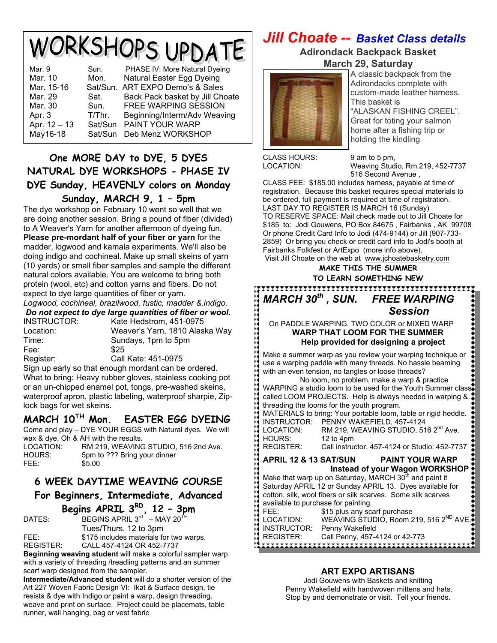# WORKSHOPS UPDATE

| Mar. 9       | Sun.      | PHASE IV: More Natural Dyeing    |
|--------------|-----------|----------------------------------|
| Mar. 10      | Mon.      | Natural Easter Egg Dyeing        |
| Mar. 15-16   |           | Sat/Sun. ART EXPO Demo's & Sales |
| Mar. 29      | Sat.      | Back Pack basket by Jill Choate  |
| Mar. 30      | Sun.      | FREE WARPING SESSION             |
| Apr. 3       | $T/T$ hr. | Beginning/Interm/Adv Weaving     |
| Apr. 12 - 13 |           | Sat/Sun PAINT YOUR WARP          |
| May16-18     |           | Sat/Sun Deb Menz WORKSHOP        |
|              |           |                                  |

# **One MORE DAY to DYE, 5 DYES NATURAL DYE WORKSHOPS - PHASE IV DYE Sunday, HEAVENLY colors on Monday Sunday, MARCH 9, 1 – 5pm**

The dye workshop on February 10 went so well that we are doing another session. Bring a pound of fiber (divided) to A Weaver's Yarn for another afternoon of dyeing fun. **Please pre-mordant half of your fiber or yarn** for the madder, logwood and kamala experiments. We'll also be doing indigo and cochineal. Make up small skeins of yarn (10 yards) or small fiber samples and sample the different natural colors available. You are welcome to bring both protein (wool, etc) and cotton yarns and fibers. Do not expect to dye large quantities of fiber or yarn.

*Logwood, cochineal, brazilwood, fustic, madder &.indigo. e large quantities of fiber or wool.* 

| Do not expect to dy |
|---------------------|
| INSTRUCTOR:         |
| Location:           |
| Time:               |
| Fee:                |
| Pagietar:           |

Kate Hedstrom, 451-0975 Weaver's Yarn, 1810 Alaska Way Sundays, 1pm to 5pm **\$25** 

Register: Call Kate: 451-0975 Sign up early so that enough mordant can be ordered. What to bring: Heavy rubber gloves, stainless cooking pot or an un-chipped enamel pot, tongs, pre-washed skeins, waterproof apron, plastic labeling, waterproof sharpie, Ziplock bags for wet skeins.

# **MARCH 10TH Mon. EASTER EGG DYEING**

Come and play – DYE YOUR EGGS with Natural dyes. We will wax & dye, Oh & AH with the results.

| LOCATION: | RM 219, WEAVING STUDIO, 516 2nd Ave. |
|-----------|--------------------------------------|
| HOURS:    | 5pm to ??? Bring your dinner         |
| FEE:      | \$5.00                               |

# **6 WEEK DAYTIME WEAVING COURSE**

**For Beginners, Intermediate, Advanced** 

**Begins APRIL 3RD, 12 – 3pm** 

DATES: BEGINS APRIL  $3^{rd}$  – MAY  $20^{TH}$ Tues/Thurs. 12 to 3pm<br>
FFF: \$175 includes materials for \$175 includes materials for two warps. REGISTER: CALL 457-4124 OR 452-7737 **Beginning weaving student** will make a colorful sampler warp

with a variety of threading /treadling patterns and an summer scarf warp designed from the sampler.

**Intermediate/Advanced student** will do a shorter version of the Art 227 Woven Fabric Design VI: Ikat & Surface design, tie resists & dye with Indigo or paint a warp, design threading, weave and print on surface. Project could be placemats, table runner, wall hanging, bag or vest fabric

# *Jill Choate -- Basket Class details*

**Adirondack Backpack Basket March 29, Saturday**



 A classic backpack from the Adirondacks complete with custom-made leather harness. This basket is "ALASKAN FISHING CREEL". Great for toting your salmon home after a fishing trip or holding the kindling

CLASS HOURS: 9 am to 5 pm,<br>LOCATION: Weaving Stud

Weaving Studio, Rm 219, 452-7737 516 Second Avenue ,

CLASS FEE: \$185.00 includes harness, payable at time of registration. Because this basket requires special materials to be ordered, full payment is required at time of registration. LAST DAY TO REGISTER IS MARCH 16 (Sunday) TO RESERVE SPACE: Mail check made out to Jill Choate for \$185 to: Jodi Gouwens, PO Box 84675 , Fairbanks , AK 99708 Or phone Credit Card Info to Jodi (474-9144) or Jill (907-733- 2859) Or bring you check or credit card info to Jodi's booth at Fairbanks Folkfest or ArtExpo (more info above).

Visit Jill Choate on the web at www.jchoatebasketry.com

**MAKE THIS THE SUMMER TO LEARN SOMETHING NEW** 

### *MARCH 30th , SUN. FREE WARPING Session* **Session**

#### On PADDLE WARPING, TWO COLOR or MIXED WARP **WARP THAT LOOM FOR THE SUMMER Help provided for designing a project**

Make a summer warp as you review your warping technique or use a warping paddle with many threads. No hassle beaming with an even tension, no tangles or loose threads?

 No loom, no problem, make a warp & practice WARPING a studio loom to be used for the Youth Summer class called LOOM PROJECTS. Help is always needed in warping & threading the looms for the youth program.

MATERIALS to bring: Your portable loom, table or rigid heddle. INSTRUCTOR: PENNY WAKEFIELD, 457-4124

LOCATION: RM 219, WEAVING STUDIO, 516 2<sup>nd</sup> Ave. HOURS: 12 to 4pm<br>REGISTER: Call instruct Call instructor, 457-4124 or Studio: 452-7737

#### **APRIL 12 & 13 SAT/SUN PAINT YOUR WARP**  to 4pm<br>
Ill instructor, 457-4124 or Studio: 452-7737<br> **IT/SUN PAINT YOUR WARP**<br> **Instead of your Wagon WORKSHOP<br>
In Saturday**, MARCH 30<sup>th</sup> and paint it<br>
or Sunday APRIL 13. Dyes available for<br>
First or silk scarves. Some Make that warp up on Saturday, MARCH  $30<sup>th</sup>$  and paint it Saturday APRIL 12 or Sunday APRIL 13. Dyes available for cotton, silk, wool fibers or silk scarves. Some silk scarves available to purchase for painting.<br>FEE: \$15 plus any sc FEE: \$15 plus any scarf purchase<br>LOCATION: WEAVING STUDIO, Room 2 LOCATION: WEAVING STUDIO, Room 219, 516 2<sup>ND</sup> AVE<br>INSTRUCTOR: Penny Wakefield Penny Wakefield

- REGISTER: Call Penny, 457-4124 or 42-773
- 

### **ART EXPO ARTISANS**

Jodi Gouwens with Baskets and knitting Penny Wakefield with handwoven mittens and hats. Stop by and demonstrate or visit. Tell your friends.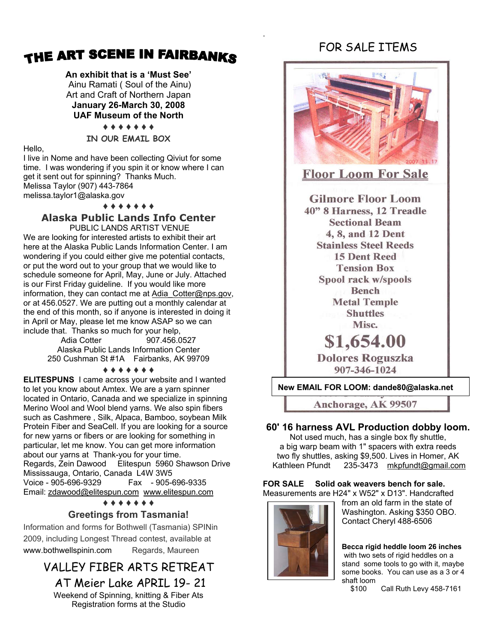# THE ART SCENE IN FAIRBANKS

**An exhibit that is a 'Must See'**  Ainu Ramati ( Soul of the Ainu) Art and Craft of Northern Japan **January 26-March 30, 2008 UAF Museum of the North** 

**♦ ♦ ♦ ♦ ♦ ♦ ♦**

**IN OUR EMAIL BOX** 

Hello,

I live in Nome and have been collecting Qiviut for some time. I was wondering if you spin it or know where I can get it sent out for spinning? Thanks Much. Melissa Taylor (907) 443-7864 melissa.taylor1@alaska.gov

#### **♦ ♦ ♦ ♦ ♦ ♦ ♦**

#### **Alaska Public Lands Info Center**  PUBLIC LANDS ARTIST VENUE

We are looking for interested artists to exhibit their art here at the Alaska Public Lands Information Center. I am wondering if you could either give me potential contacts, or put the word out to your group that we would like to schedule someone for April, May, June or July. Attached is our First Friday guideline. If you would like more information, they can contact me at Adia\_Cotter@nps.gov, or at 456.0527. We are putting out a monthly calendar at the end of this month, so if anyone is interested in doing it in April or May, please let me know ASAP so we can include that. Thanks so much for your help,

 $907.456.0527$ Alaska Public Lands Information Center 250 Cushman St #1A Fairbanks, AK 99709

#### **♦ ♦ ♦ ♦ ♦ ♦ ♦**

**ELITESPUNS** I came across your website and I wanted to let you know about Amtex. We are a yarn spinner located in Ontario, Canada and we specialize in spinning Merino Wool and Wool blend yarns. We also spin fibers such as Cashmere , Silk, Alpaca, Bamboo, soybean Milk Protein Fiber and SeaCell. If you are looking for a source for new yarns or fibers or are looking for something in particular, let me know. You can get more information about our yarns at Thank-you for your time. Regards, Zein Dawood Elitespun 5960 Shawson Drive Mississauga, Ontario, CanadaL4W 3W5 Voice - 905-696-9329 Fax - 905-696-9335 Email: zdawood@elitespun.com www.elitespun.com

#### **♦ ♦ ♦ ♦ ♦ ♦ ♦**

#### **Greetings from Tasmania!**

Information and forms for Bothwell (Tasmania) SPINin 2009, including Longest Thread contest, available at www.bothwellspinin.com Regards, Maureen

# VALLEY FIBER ARTS RETREAT

 AT Meier Lake APRIL 19- 21 Weekend of Spinning, knitting & Fiber Ats Registration forms at the Studio

## FOR SALE ITEMS

.



### **Floor Loom For Sale**

**Gilmore Floor Loom** 40" 8 Harness, 12 Treadle **Sectional Beam** 4.8. and 12 Dent **Stainless Steel Reeds 15 Dent Reed Tension Box** Spool rack w/spools Bench **Metal Temple Shuttles** Misc.

\$1,654.00 **Dolores Roguszka** 907-346-1024

**New EMAIL FOR LOOM: dande80@alaska.net**

Anchorage, AK 99507

#### **60' 16 harness AVL Production dobby loom.**

Not used much, has a single box fly shuttle, a big warp beam with 1" spacers with extra reeds two fly shuttles, asking \$9,500. Lives in Homer, AK<br>Kathleen Pfundt 235-3473 mkpfundt@amail.cor 235-3473 mkpfundt@gmail.com

**FOR SALE Solid oak weavers bench for sale.** Measurements are H24" x W52" x D13". Handcrafted



from an old farm in the state of Washington. Asking \$350 OBO. Contact Cheryl 488-6506

**Becca rigid heddle loom 26 inches**  with two sets of rigid heddles on a stand some tools to go with it, maybe some books. You can use as a 3 or 4 shaft loom

\$100 Call Ruth Levy 458-7161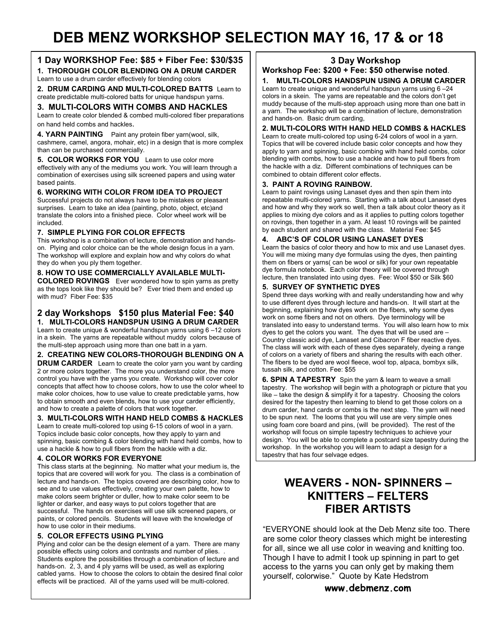# **DEB MENZ WORKSHOP SELECTION MAY 16, 17 & or 18**

#### **1 Day WORKSHOP Fee: \$85 + Fiber Fee: \$30/\$35**

**1. THOROUGH COLOR BLENDING ON A DRUM CARDER**  Learn to use a drum carder effectively for blending colors

**2. DRUM CARDING AND MULTI-COLORED BATTS** Learn to create predictable multi-colored batts for unique handspun yarns.

#### **3. MULTI-COLORS WITH COMBS AND HACKLES**

Learn to create color blended & combed multi-colored fiber preparations on hand held combs and hackles.

**4. YARN PAINTING** Paint any protein fiber yarn(wool, silk, cashmere, camel, angora, mohair, etc) in a design that is more complex than can be purchased commercially.

**5. COLOR WORKS FOR YOU** Learn to use color more effectively with any of the mediums you work. You will learn through a combination of exercises using silk screened papers and using water based paints.

#### **6. WORKING WITH COLOR FROM IDEA TO PROJECT**

Successful projects do not always have to be mistakes or pleasant surprises. Learn to take an idea (painting, photo, object, etc)and translate the colors into a finished piece. Color wheel work will be included.

#### **7. SIMPLE PLYING FOR COLOR EFFECTS**

This workshop is a combination of lecture, demonstration and handson. Plying and color choice can be the whole design focus in a yarn. The workshop will explore and explain how and why colors do what they do when you ply them together.

#### **8. HOW TO USE COMMERCIALLY AVAILABLE MULTI-COLORED ROVINGS** Ever wondered how to spin yarns as pretty as the tops look like they should be? Ever tried them and ended up with mud? Fiber Fee: \$35

# **2 day Workshops \$150 plus Material Fee: \$40**

**1. MULTI-COLORS HANDSPUN USING A DRUM CARDER**  Learn to create unique & wonderful handspun yarns using 6 –12 colors in a skein. The yarns are repeatable without muddy colors because of the multi-step approach using more than one batt in a yarn.

**2. CREATING NEW COLORS-THOROUGH BLENDING ON A DRUM CARDER** Learn to create the color yarn you want by carding 2 or more colors together. The more you understand color, the more control you have with the yarns you create. Workshop will cover color concepts that affect how to choose colors, how to use the color wheel to make color choices, how to use value to create predictable yarns, how to obtain smooth and even blends, how to use your carder efficiently, and how to create a palette of colors that work together.

#### **3. MULTI-COLORS WITH HAND HELD COMBS & HACKLES**

Learn to create multi-colored top using 6-15 colors of wool in a yarn. Topics include basic color concepts, how they apply to yarn and spinning, basic combing & color blending with hand held combs, how to use a hackle & how to pull fibers from the hackle with a diz.

#### **4. COLOR WORKS FOR EVERYONE**

This class starts at the beginning. No matter what your medium is, the topics that are covered will work for you. The class is a combination of lecture and hands-on. The topics covered are describing color, how to see and to use values effectively, creating your own palette, how to make colors seem brighter or duller, how to make color seem to be lighter or darker, and easy ways to put colors together that are successful. The hands on exercises will use silk screened papers, or paints, or colored pencils. Students will leave with the knowledge of how to use color in their mediums.

#### **5. COLOR EFFECTS USING PLYING**

Plying and color can be the design element of a yarn. There are many possible effects using colors and contrasts and number of plies. . Students explore the possibilities through a combination of lecture and hands-on. 2, 3, and 4 ply yarns will be used, as well as exploring cabled yarns. How to choose the colors to obtain the desired final color effects will be practiced. All of the yarns used will be multi-colored.

#### **3 Day Workshop**

**Workshop Fee: \$200 + Fee: \$50 otherwise noted**.

#### **1. MULTI-COLORS HANDSPUN USING A DRUM CARDER**

Learn to create unique and wonderful handspun yarns using 6 –24 colors in a skein. The yarns are repeatable and the colors don't get muddy because of the multi-step approach using more than one batt in a yarn. The workshop will be a combination of lecture, demonstration and hands-on. Basic drum carding,

#### **2. MULTI-COLORS WITH HAND HELD COMBS & HACKLES**

Learn to create multi-colored top using 6-24 colors of wool in a yarn. Topics that will be covered include basic color concepts and how they apply to yarn and spinning, basic combing with hand held combs, color blending with combs, how to use a hackle and how to pull fibers from the hackle with a diz. Different combinations of techniques can be combined to obtain different color effects.

#### **3. PAINT A ROVING RAINBOW.**

Learn to paint rovings using Lanaset dyes and then spin them into repeatable multi-colored yarns. Starting with a talk about Lanaset dyes and how and why they work so well, then a talk about color theory as it applies to mixing dye colors and as it applies to putting colors together on rovings, then together in a yarn. At least 10 rovings will be painted by each student and shared with the class. Material Fee: \$45

#### **4. ABC'S OF COLOR USING LANASET DYES**

Learn the basics of color theory and how to mix and use Lanaset dyes. You will me mixing many dye formulas using the dyes, then painting them on fibers or yarns( can be wool or silk) for your own repeatable dye formula notebook. Each color theory will be covered through lecture, then translated into using dyes. Fee: Wool \$50 or Silk \$60

#### **5. SURVEY OF SYNTHETIC DYES**

Spend three days working with and really understanding how and why to use different dyes through lecture and hands-on. It will start at the beginning, explaining how dyes work on the fibers, why some dyes work on some fibers and not on others. Dye terminology will be translated into easy to understand terms. You will also learn how to mix dyes to get the colors you want. The dyes that will be used are – Country classic acid dye, Lanaset and Cibacron F fiber reactive dyes. The class will work with each of these dyes separately, dyeing a range of colors on a variety of fibers and sharing the results with each other. The fibers to be dyed are wool fleece, wool top, alpaca, bombyx silk, tussah silk, and cotton. Fee: \$55

**6. SPIN A TAPESTRY** Spin the yarn & learn to weave a small tapestry. The workshop will begin with a photograph or picture that you like – take the design & simplify it for a tapestry. Choosing the colors desired for the tapestry then learning to blend to get those colors on a drum carder, hand cards or combs is the next step. The yarn will need to be spun next. The looms that you will use are very simple ones using foam core board and pins, (will be provided). The rest of the workshop will focus on simple tapestry techniques to achieve your design. You will be able to complete a postcard size tapestry during the workshop. In the workshop you will learn to adapt a design for a tapestry that has four selvage edges.

## **WEAVERS - NON- SPINNERS – KNITTERS – FELTERS FIBER ARTISTS**

"EVERYONE should look at the Deb Menz site too. There are some color theory classes which might be interesting for all, since we all use color in weaving and knitting too. Though I have to admit I took up spinning in part to get access to the yarns you can only get by making them yourself, colorwise." Quote by Kate Hedstrom

**www.debmenz.com**